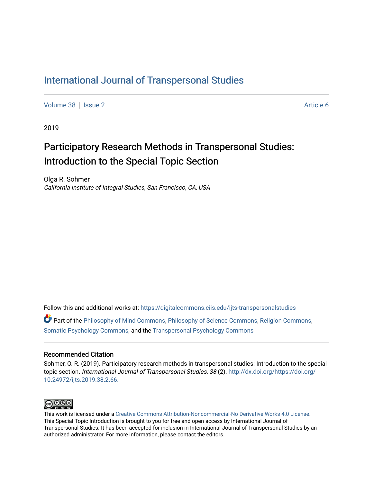# [International Journal of Transpersonal Studies](https://digitalcommons.ciis.edu/ijts-transpersonalstudies)

[Volume 38](https://digitalcommons.ciis.edu/ijts-transpersonalstudies/vol38) | [Issue 2](https://digitalcommons.ciis.edu/ijts-transpersonalstudies/vol38/iss2) Article 6

2019

# Participatory Research Methods in Transpersonal Studies: Introduction to the Special Topic Section

Olga R. Sohmer California Institute of Integral Studies, San Francisco, CA, USA

Follow this and additional works at: [https://digitalcommons.ciis.edu/ijts-transpersonalstudies](https://digitalcommons.ciis.edu/ijts-transpersonalstudies?utm_source=digitalcommons.ciis.edu%2Fijts-transpersonalstudies%2Fvol38%2Fiss2%2F6&utm_medium=PDF&utm_campaign=PDFCoverPages) 

Part of the [Philosophy of Mind Commons](http://network.bepress.com/hgg/discipline/535?utm_source=digitalcommons.ciis.edu%2Fijts-transpersonalstudies%2Fvol38%2Fiss2%2F6&utm_medium=PDF&utm_campaign=PDFCoverPages), [Philosophy of Science Commons,](http://network.bepress.com/hgg/discipline/536?utm_source=digitalcommons.ciis.edu%2Fijts-transpersonalstudies%2Fvol38%2Fiss2%2F6&utm_medium=PDF&utm_campaign=PDFCoverPages) [Religion Commons](http://network.bepress.com/hgg/discipline/538?utm_source=digitalcommons.ciis.edu%2Fijts-transpersonalstudies%2Fvol38%2Fiss2%2F6&utm_medium=PDF&utm_campaign=PDFCoverPages), [Somatic Psychology Commons,](http://network.bepress.com/hgg/discipline/1431?utm_source=digitalcommons.ciis.edu%2Fijts-transpersonalstudies%2Fvol38%2Fiss2%2F6&utm_medium=PDF&utm_campaign=PDFCoverPages) and the [Transpersonal Psychology Commons](http://network.bepress.com/hgg/discipline/1388?utm_source=digitalcommons.ciis.edu%2Fijts-transpersonalstudies%2Fvol38%2Fiss2%2F6&utm_medium=PDF&utm_campaign=PDFCoverPages) 

### Recommended Citation

Sohmer, O. R. (2019). Participatory research methods in transpersonal studies: Introduction to the special topic section. International Journal of Transpersonal Studies, 38 (2). [http://dx.doi.org/https://doi.org/](http://dx.doi.org/https://doi.org/10.24972/ijts.2019.38.2.66.) [10.24972/ijts.2019.38.2.66.](http://dx.doi.org/https://doi.org/10.24972/ijts.2019.38.2.66.) 



This work is licensed under a [Creative Commons Attribution-Noncommercial-No Derivative Works 4.0 License.](https://creativecommons.org/licenses/by-nc-nd/4.0/) This Special Topic Introduction is brought to you for free and open access by International Journal of Transpersonal Studies. It has been accepted for inclusion in International Journal of Transpersonal Studies by an authorized administrator. For more information, please contact the editors.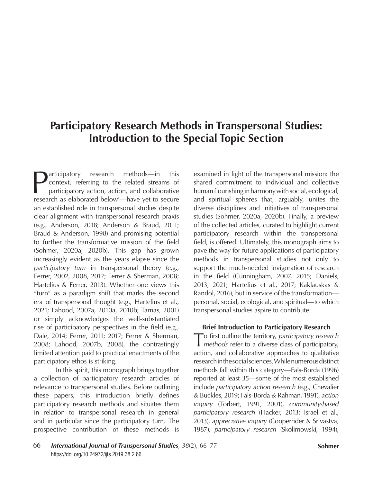# **Participatory Research Methods in Transpersonal Studies: Introduction to the Special Topic Section**

Participatory research methods—in this<br>context, referring to the related streams of<br>participatory action, action, and collaborative<br>research as elaborated below!—baye yet to secure context, referring to the related streams of participatory action, action, and collaborative research as elaborated below<sup>1</sup>—have yet to secure an established role in transpersonal studies despite clear alignment with transpersonal research praxis (e.g., Anderson, 2018; Anderson & Braud, 2011; Braud & Anderson, 1998) and promising potential to further the transformative mission of the field (Sohmer, 2020a, 2020b). This gap has grown increasingly evident as the years elapse since the *participatory turn* in transpersonal theory (e.g., Ferrer, 2002, 2008, 2017; Ferrer & Sherman, 2008; Hartelius & Ferrer, 2013). Whether one views this "turn" as a paradigm shift that marks the second era of transpersonal thought (e.g., Hartelius et al., 2021; Lahood, 2007a, 2010a, 2010b; Tarnas, 2001) or simply acknowledges the well-substantiated rise of participatory perspectives in the field (e.g., Dale, 2014; Ferrer, 2011; 2017; Ferrer & Sherman, 2008; Lahood, 2007b, 2008), the contrastingly limited attention paid to practical enactments of the participatory ethos is striking.

In this spirit, this monograph brings together a collection of participatory research articles of relevance to transpersonal studies. Before outlining these papers, this introduction briefly defines participatory research methods and situates them in relation to transpersonal research in general and in particular since the participatory turn. The prospective contribution of these methods is

examined in light of the transpersonal mission: the shared commitment to individual and collective human flourishing in harmony with social, ecological, and spiritual spheres that, arguably, unites the diverse disciplines and initiatives of transpersonal studies (Sohmer, 2020a, 2020b). Finally, a preview of the collected articles, curated to highlight current participatory research within the transpersonal field, is offered. Ultimately, this monograph aims to pave the way for future applications of participatory methods in transpersonal studies not only to support the much-needed invigoration of research in the field (Cunningham, 2007, 2015; Daniels, 2013, 2021; Hartelius et al., 2017; Kaklauskas & Randol, 2016), but in service of the transformation personal, social, ecological, and spiritual—to which transpersonal studies aspire to contribute.

## **Brief Introduction to Participatory Research**

To first outline the territory, *participatory research methods* refer to a diverse class of participatory, action, and collaborative approaches to qualitative research in the social sciences. While numerous distinct methods fall within this category—Fals-Borda (1996) reported at least 35—some of the most established include *participatory action research* (e.g., Chevalier & Buckles, 2019; Fals-Borda & Rahman, 1991), *action inquiry* (Torbert, 1991, 2001), *community-based participatory research* (Hacker, 2013; Israel et al., 2013), *appreciative inquiry* (Cooperrider & Srivastva, 1987), *participatory research* (Skolimowski, 1994),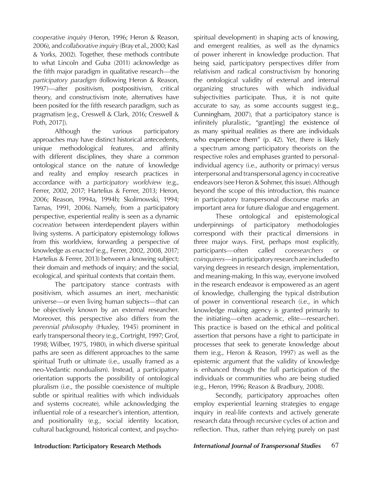*cooperative inquiry* (Heron, 1996; Heron & Reason, 2006), and *collaborative inquiry* (Bray et al., 2000; Kasl & Yorks, 2002). Together, these methods contribute to what Lincoln and Guba (2011) acknowledge as the fifth major paradigm in qualitative research—the *participatory paradigm* (following Heron & Reason, 1997)—after positivism, postpositivism, critical theory, and constructivism (note, alternatives have been posited for the fifth research paradigm, such as pragmatism [e.g., Creswell & Clark, 2016; Creswell & Poth, 2017]).

Although the various participatory approaches may have distinct historical antecedents, unique methodological features, and affinity with different disciplines, they share a common ontological stance on the nature of knowledge and reality and employ research practices in accordance with a *participatory worldview* (e.g., Ferrer, 2002, 2017; Hartelius & Ferrer, 2013; Heron, 2006; Reason, 1994a, 1994b; Skolimowski, 1994; Tarnas, 1991, 2006). Namely, from a participatory perspective, experiential reality is seen as a dynamic *cocreation* between interdependent players within living systems. A participatory epistemology follows from this worldview, forwarding a perspective of knowledge as *enacted* (e.g., Ferrer, 2002, 2008, 2017; Hartelius & Ferrer, 2013) between a knowing subject; their domain and methods of inquiry; and the social, ecological, and spiritual contexts that contain them.

The partcipatory stance contrasts with positivism, which assumes an inert, mechanistic universe—or even living human subjects—that can be objectively known by an external researcher. Moreover, this perspective also differs from the *perennial philosophy* (Huxley, 1945) prominent in early transpersonal theory (e.g., Cortright, 1997; Grof, 1998; Wilber, 1975, 1980), in which diverse spiritual paths are seen as different approaches to the same spiritual Truth or ultimate (i.e., usually framed as a neo-Vedantic nondualism). Instead, a participatory orientation supports the possibility of ontological pluralism (i.e., the possible coexistence of multiple subtle or spiritual realities with which individuals and systems cocreate), while acknowledging the influential role of a researcher's intention, attention, and positionality (e.g., social identity location, cultural background, historical context, and psychospiritual development) in shaping acts of knowing, and emergent realities, as well as the dynamics of power inherent in knowledge production. That being said, participatory perspectives differ from relativism and radical constructivism by honoring the ontological validity of external and internal organizing structures with which individual subjectivities participate. Thus, it is not quite accurate to say, as some accounts suggest (e.g., Cunningham, 2007), that a participatory stance is infinitely pluralistic, "grant[ing] the existence of as many spiritual realities as there are individuals who experience them" (p. 42). Yet, there is likely a spectrum among participatory theorists on the respective roles and emphases granted to personalindividual agency (i.e., authority or primacy) versus interpersonal and transpersonal agency in cocreative endeavors (see Heron & Sohmer, this issue). Although beyond the scope of this introduction, this nuance in participatory transpersonal discourse marks an important area for future dialogue and engagement.

These ontological and epistemological underpinnings of participatory methodologies correspond with their practical dimensions in three major ways. First, perhaps most explicitly, participants—often called *coresearchers* or *coinquirers*—in participatory research are included to varying degrees in research design, implementation, and meaning-making. In this way, everyone involved in the research endeavor is empowered as an agent of knowledge, challenging the typical distribution of power in conventional research (i.e., in which knowledge making agency is granted primarily to the initiating—often academic, elite—researcher). This practice is based on the ethical and political assertion that persons have a right to participate in processes that seek to generate knowledge about them (e.g., Heron & Reason, 1997) as well as the epistemic argument that the validity of knowledge is enhanced through the full participation of the individuals or communities who are being studied (e.g., Heron, 1996; Reason & Bradbury, 2008).

Secondly, participatory approaches often employ experiential learning strategies to engage inquiry in real-life contexts and actively generate research data through recursive cycles of action and reflection. Thus, rather than relying purely on past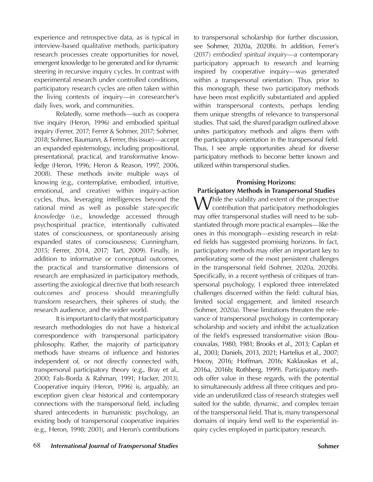experience and retrospective data, as is typical in interview-based qualitative methods, participatory research processes create opportunities for novel, emergent knowledge to be generated and for dynamic steering in recursive inquiry cycles. In contrast with experimental research under controlled conditions, participatory research cycles are often taken within the living contexts of inquiry—in coresearcher's daily lives, work, and communities.

Relatedly, some methods—such as coopera tive inquiry (Heron, 1996) and embodied spiritual inquiry (Ferrer, 2017; Ferrer & Sohmer, 2017; Sohmer, 2018; Sohmer, Baumann, & Ferrer, this issue)—accept an expanded epistemology, including propositional, presentational, practical, and transformative knowledge (Heron, 1996; Heron & Reason, 1997, 2006, 2008). These methods invite multiple ways of knowing (e.g., contemplative, embodied, intuitive, emotional, and creative) within inquiry-action cycles, thus, leveraging intelligences beyond the rational mind as well as possible *state-specific knowledge* (i.e., knowledge accessed through psychospiritual practice, intentionally cultivated states of consciousness, or spontaneously arising expanded states of consciousness; Cunningham, 2015; Ferrer, 2014, 2017; Tart, 2009). Finally, in addition to informative or conceptual outcomes, the practical and transformative dimensions of research are emphasized in participatory methods, asserting the axiological directive that both research outcomes *and* process should meaningfully transform researchers, their spheres of study, the research audience, and the wider world.

It is important to clarify that most participatory research methodologies do not have a historical correspondence with transpersonal participatory philosophy. Rather, the majority of participatory methods have streams of influence and histories independent of, or not directly connected with, transpersonal participatory theory (e.g., Bray et al., 2000; Fals-Borda & Rahman, 1991; Hacker, 2013). Cooperative inquiry (Heron, 1996) is, arguably, an exception given clear historical and contemporary connections with the transpersonal field, including shared antecedents in humanistic psychology, an existing body of transpersonal cooperative inquiries (e.g., Heron, 1998; 2001), and Heron's contributions

to transpersonal scholarship (for further discussion, see Sohmer, 2020a, 2020b). In addition, Ferrer's (2017) *embodied spiritual inquiry*—a contemporary participatory approach to research and learning inspired by cooperative inquiry—was generated within a transpersonal orientation. Thus, prior to this monograph, these two participatory methods have been most explicitly substantiated and applied within transpersonal contexts, perhaps lending them unique strengths of relevance to transpersonal studies. That said, the shared paradigm outlined above unites participatory methods and aligns them with the participatory orientation in the transpersonal field. Thus, I see ample opportunities ahead for diverse participatory methods to become better known and utilized within transpersonal studies.

## **Promising Horizons:**

## **Participatory Methods in Transpersonal Studies**

While the viability and extent of the prospective<br>contribution that participatory methodologies may offer transpersonal studies will need to be substantiated through more practical examples—like the ones in this monograph—existing research in related fields has suggested promising horizons. In fact, participatory methods may offer an important key to ameliorating some of the most persistent challenges in the transpersonal field (Sohmer, 2020a, 2020b). Specifically, in a recent synthesis of critiques of transpersonal psychology, I explored three interrelated challenges discerned within the field: cultural bias, limited social engagement, and limited research (Sohmer, 2020a). These limitations threaten the relevance of transpersonal psychology in contemporary scholarship and society and inhibit the actualization of the field's expressed transformative vision (Boucouvalas, 1980, 1981; Brooks et al., 2013; Caplan et al., 2003; Daniels, 2013, 2021; Hartelius et al., 2007; Hocoy, 2016; Hoffman, 2016; Kaklauskas et al., 2016a, 2016b; Rothberg, 1999). Participatory methods offer value in these regards, with the potential to simultaneously address all three critiques and provide an underutilized class of research strategies well suited for the subtle, dynamic, and complex terrain of the transpersonal field. That is, many transpersonal domains of inquiry lend well to the experiential inquiry cycles employed in participatory research.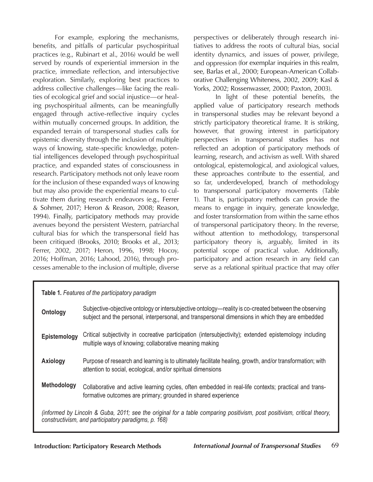For example, exploring the mechanisms, benefits, and pitfalls of particular psychospiritual practices (e.g., Rubinart et al., 2016) would be well served by rounds of experiential immersion in the practice, immediate reflection, and intersubjective exploration. Similarly, exploring best practices to address collective challenges—like facing the realities of ecological grief and social injustice—or healing psychospiritual ailments, can be meaningfully engaged through active-reflective inquiry cycles within mutually concerned groups. In addition, the expanded terrain of transpersonal studies calls for epistemic diversity through the inclusion of multiple ways of knowing, state-specific knowledge, potential intelligences developed through psychospiritual practice, and expanded states of consciousness in research. Participatory methods not only leave room for the inclusion of these expanded ways of knowing but may also provide the experiential means to cultivate them during research endeavors (e.g., Ferrer & Sohmer, 2017; Heron & Reason, 2008; Reason, 1994). Finally, participatory methods may provide avenues beyond the persistent Western, patriarchal cultural bias for which the transpersonal field has been critiqued (Brooks, 2010; Brooks et al., 2013; Ferrer, 2002, 2017; Heron, 1996, 1998; Hocoy, 2016; Hoffman, 2016; Lahood, 2016), through processes amenable to the inclusion of multiple, diverse

perspectives or deliberately through research initiatives to address the roots of cultural bias, social identity dynamics, and issues of power, privilege, and oppression (for exemplar inquiries in this realm, see, Barlas et al., 2000; European-American Collaborative Challenging Whiteness, 2002, 2009; Kasl & Yorks, 2002; Rossenwasser, 2000; Paxton, 2003).

In light of these potential benefits, the applied value of participatory research methods in transpersonal studies may be relevant beyond a strictly participatory theoretical frame. It is striking, however, that growing interest in participatory perspectives in transpersonal studies has not reflected an adoption of participatory methods of learning, research, and activism as well. With shared ontological, epistemological, and axiological values, these approaches contribute to the essential, and so far, underdeveloped, branch of methodology to transpersonal participatory movements (Table 1). That is, participatory methods can provide the means to engage in inquiry, generate knowledge, and foster transformation from within the same ethos of transpersonal participatory theory. In the reverse, without attention to methodology, transpersonal participatory theory is, arguably, limited in its potential scope of practical value. Additionally, participatory and action research in any field can serve as a relational spiritual practice that may offer

| <b>Table 1.</b> Features of the participatory paradigm                                                                                                                          |                                                                                                                                                                                                           |
|---------------------------------------------------------------------------------------------------------------------------------------------------------------------------------|-----------------------------------------------------------------------------------------------------------------------------------------------------------------------------------------------------------|
| Ontology                                                                                                                                                                        | Subjective-objective ontology or intersubjective ontology—reality is co-created between the observing<br>subject and the personal, interpersonal, and transpersonal dimensions in which they are embedded |
| Epistemology                                                                                                                                                                    | Critical subjectivity in cocreative participation (intersubjectivity); extended epistemology including<br>multiple ways of knowing; collaborative meaning making                                          |
| <b>Axiology</b>                                                                                                                                                                 | Purpose of research and learning is to ultimately facilitate healing, growth, and/or transformation; with<br>attention to social, ecological, and/or spiritual dimensions                                 |
| Methodology                                                                                                                                                                     | Collaborative and active learning cycles, often embedded in real-life contexts; practical and trans-<br>formative outcomes are primary; grounded in shared experience                                     |
| (informed by Lincoln & Guba, 2011; see the original for a table comparing positivism, post positivism, critical theory,<br>constructivism, and participatory paradigms, p. 168) |                                                                                                                                                                                                           |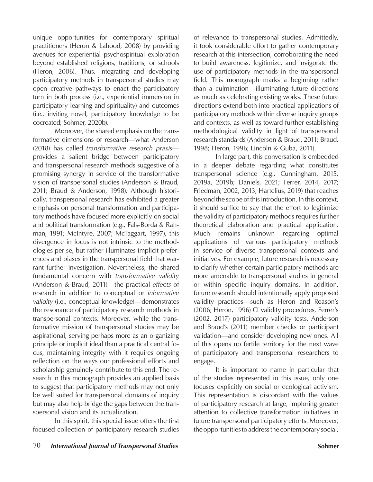unique opportunities for contemporary spiritual practitioners (Heron & Lahood, 2008) by providing avenues for experiential psychospiritual exploration beyond established religions, traditions, or schools (Heron, 2006). Thus, integrating and developing participatory methods in transpersonal studies may open creative pathways to enact the participatory turn in both process (i.e., experiential immersion in participatory learning and spirituality) and outcomes (i.e., inviting novel, participatory knowledge to be cocreated; Sohmer, 2020b).

Moreover, the shared emphasis on the transformative dimensions of research—what Anderson (2018) has called *transformative research praxis* provides a salient bridge between participatory and transpersonal research methods suggestive of a promising synergy in service of the transformative vision of transpersonal studies (Anderson & Braud, 2011; Braud & Anderson, 1998). Although historically, transpersonal research has exhibited a greater emphasis on personal transformation and participatory methods have focused more explicitly on social and political transformation (e.g., Fals-Borda & Rahman, 1991; McIntyre, 2007; McTaggart, 1997), this divergence in focus is not intrinsic to the methodologies per se, but rather illuminates implicit preferences and biases in the transpersonal field that warrant further investigation. Nevertheless, the shared fundamental concern with *transformative validity* (Anderson & Braud, 2011)—the practical *effects* of research in addition to conceptual or *informative validity* (i.e., conceptual knowledge)—demonstrates the resonance of participatory research methods in transpersonal contexts. Moreover, while the transformative mission of transpersonal studies may be aspirational, serving perhaps more as an organizing principle or implicit ideal than a practical central focus, maintaining integrity with it requires ongoing reflection on the ways our professional efforts and scholarship genuinely contribute to this end. The research in this monograph provides an applied basis to suggest that participatory methods may not only be well suited for transpersonal domains of inquiry but may also help bridge the gaps between the transpersonal vision and its actualization.

In this spirit, this special issue offers the first focused collection of participatory research studies

of relevance to transpersonal studies. Admittedly, it took considerable effort to gather contemporary research at this intersection, corroborating the need to build awareness, legitimize, and invigorate the use of participatory methods in the transpersonal field. This monograph marks a beginning rather than a culmination—illuminating future directions as much as celebrating existing works. These future directions extend both into practical applications of participatory methods within diverse inquiry groups and contexts, as well as toward further establishing methodological validity in light of transpersonal research standards (Anderson & Braud, 2011; Braud, 1998; Heron, 1996; Lincoln & Guba, 2011).

In large part, this conversation is embedded in a deeper debate regarding what constitutes transpersonal science (e.g., Cunningham, 2015, 2019a, 2019b; Daniels, 2021; Ferrer, 2014, 2017; Friedman, 2002, 2013; Hartelius, 2019) that reaches beyond the scope of this introduction. In this context, it should suffice to say that the effort to legitimize the validity of participatory methods requires further theoretical elaboration and practical application. Much remains unknown regarding optimal applications of various participatory methods in service of diverse transpersonal contexts and initiatives. For example, future research is necessary to clarify whether certain participatory methods are more amenable to transpersonal studies in general or within specific inquiry domains. In addition, future research should intentionally apply proposed validity practices—such as Heron and Reason's (2006; Heron, 1996) CI validity procedures, Ferrer's (2002, 2017) participatory validity tests, Anderson and Braud's (2011) member checks or participant validation—and consider developing new ones. All of this opens up fertile territory for the next wave of participatory and transpersonal researchers to engage.

It is important to name in particular that of the studies represented in this issue, only one focuses explicitly on social or ecological activism. This representation is discordant with the values of participatory research at large, imploring greater attention to collective transformation initiatives in future transpersonal participatory efforts. Moreover, the opportunities to address the contemporary social,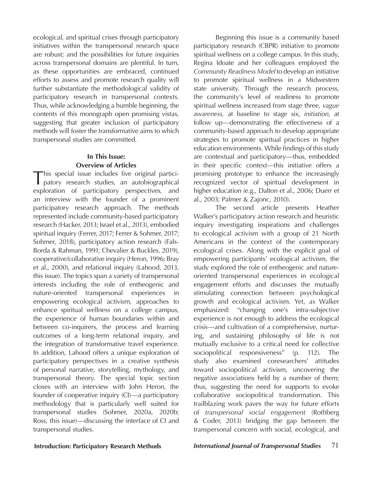ecological, and spiritual crises through participatory initiatives within the transpersonal research space are robust; and the possibilities for future inquiries across transpersonal domains are plentiful. In turn, as these opportunities are embraced, continued efforts to assess and promote research quality will further substantiate the methodological validity of participatory research in transpersonal contexts. Thus, while acknowledging a humble beginning, the contents of this monograph open promising vistas, suggesting that greater inclusion of participatory methods will foster the transformative aims to which transpersonal studies are committed.

# **In This Issue: Overview of Articles**

This special issue includes five original partici-patory research studies, an autobiographical exploration of participatory perspectives, and an interview with the founder of a prominent participatory research approach. The methods represented include community-based participatory research (Hacker, 2013; Israel et al., 2013), embodied spiritual inquiry (Ferrer, 2017; Ferrer & Sohmer, 2017; Sohmer, 2018), participatory action research (Fals-Borda & Rahman, 1991; Chevalier & Buckles, 2019), cooperative/collaborative inquiry (Heron, 1996; Bray et al., 2000), and relational inquiry (Lahood, 2013, this issue). The topics span a variety of transpersonal interests including the role of entheogenic and nature-oriented transpersonal experiences in empowering ecological activism, approaches to enhance spiritual wellness on a college campus, the experience of human boundaries within and between co-inquirers, the process and learning outcomes of a long-term relational inquiry, and the integration of transformative travel experience. In addition, Lahood offers a unique exploration of participatory perspectives in a creative synthesis of personal narrative, storytelling, mythology, and transpersonal theory. The special topic section closes with an interview with John Heron, the founder of cooperative inquiry (CI)—a participatory methodology that is particularly well suited for transpersonal studies (Sohmer, 2020a, 2020b; Ross, this issue)—discussing the interface of CI and transpersonal studies.

Beginning this issue is a community based participatory research (CBPR) initiative to promote spiritual wellness on a college campus. In this study, Regina Idoate and her colleagues employed the *Community Readiness Model* to develop an initiative to promote spiritual wellness in a Midwestern state university. Through the research process, the community's level of readiness to promote spiritual wellness increased from stage three, *vague awareness,* at baseline to stage six, *initiation*, at follow up—demonstrating the effectiveness of a community-based approach to develop appropriate strategies to promote spiritual practices in higher education environments. While findings of this study are contextual and participatory—thus, embedded in their specific context—this initiative offers a promising prototype to enhance the increasingly recognized vector of spiritual development in higher education (e.g., Dalton et al., 2006; Duerr et al., 2003; Palmer & Zajonc, 2010).

The second article presents Heather Walker's participatory action research and heuristic inquiry investigating inspirations and challenges to ecological activism with a group of 21 North Americans in the context of the contemporary ecological crises. Along with the explicit goal of empowering participants' ecological activism, the study explored the role of entheogenic and natureoriented transpersonal experiences in ecological engagement efforts and discusses the mutually stimulating connection between psychological growth and ecological activism. Yet, as Walker emphasized: "changing one's intra-subjective experience is not enough to address the ecological crisis—and cultivation of a comprehensive, nurturing, and sustaining philosophy of life is not mutually exclusive to a critical need for collective sociopolitical responsiveness" (p. 112). The study also examined coresearchers' attitudes toward sociopolitical activism, uncovering the negative associations held by a number of them; thus, suggesting the need for supports to evoke collaborative sociopolitical transformation. This trailblazing work paves the way for future efforts of *transpersonal social engagement* (Rothberg & Coder, 2013) bridging the gap between the transpersonal concern with social, ecological, and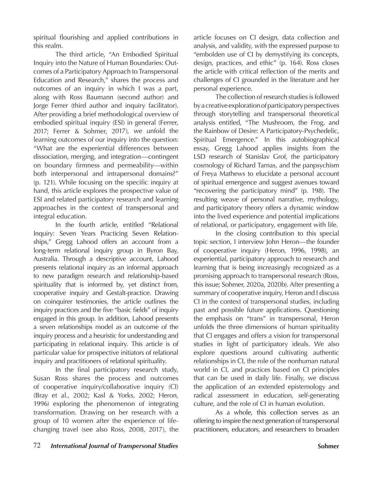spiritual flourishing and applied contributions in this realm.

The third article, "An Embodied Spiritual Inquiry into the Nature of Human Boundaries: Outcomes of a Participatory Approach to Transpersonal Education and Research," shares the process and outcomes of an inquiry in which I was a part, along with Ross Baumann (second author) and Jorge Ferrer (third author and inquiry facilitator). After providing a brief methodological overview of embodied spiritual inquiry (ESI) in general (Ferrer, 2017; Ferrer & Sohmer, 2017), we unfold the learning outcomes of our inquiry into the question: "What are the experiential differences between dissociation, merging, and integration—contingent on boundary firmness and permeability—within both interpersonal and intrapersonal domains?" (p. 121). While focusing on the specific inquiry at hand, this article explores the prospective value of ESI and related participatory research and learning approaches in the context of transpersonal and integral education.

In the fourth article, entitled "Relational Inquiry: Seven Years Practicing Seven Relationships," Gregg Lahood offers an account from a long-term relational inquiry group in Byron Bay, Australia. Through a descriptive account, Lahood presents relational inquiry as an informal approach to new paradigm research and relationship-based spirituality that is informed by, yet distinct from, cooperative inquiry and Gestalt-practice. Drawing on coinquirer testimonies, the article outlines the inquiry practices and the five "basic fields" of inquiry engaged in this group. In addition, Lahood presents a seven relationships model as an outcome of the inquiry process and a heuristic for understanding and participating in relational inquiry. This article is of particular value for prospective initiators of relational inquiry and practitioners of relational spirituality.

In the final participatory research study, Susan Ross shares the process and outcomes of cooperative inquiry/collaborative inquiry (CI) (Bray et al., 2002; Kasl & Yorks, 2002; Heron, 1996) exploring the phenomenon of integrating transformation. Drawing on her research with a group of 10 women after the experience of lifechanging travel (see also Ross, 2008, 2017), the article focuses on CI design, data collection and analysis, and validity, with the expressed purpose to "embolden use of CI by demystifying its concepts, design, practices, and ethic" (p. 164). Ross closes the article with critical reflection of the merits and challenges of CI grounded in the literature and her personal experience.

 The collection of research studies is followed by a creative exploration of participatory perspectives through storytelling and transpersonal theoretical analysis entitled, "The Mushroom, the Frog, and the Rainbow of Desire: A Participatory-Psychedelic, Spiritual Emergence." In this autobiographical essay, Gregg Lahood applies insights from the LSD research of Stanislav Grof, the participatory cosmology of Richard Tarnas, and the panpsychism of Freya Mathews to elucidate a personal account of spiritual emergence and suggest avenues toward "recovering the participatory mind" (p. 198). The resulting weave of personal narrative, mythology, and participatory theory offers a dynamic window into the lived experience and potential implications of relational, or participatory, engagement with life.

 In the closing contribution to this special topic section, I interview John Heron—the founder of cooperative inquiry (Heron, 1996, 1998), an experiential, participatory approach to research and learning that is being increasingly recognized as a promising approach to transpersonal research (Ross, this issue; Sohmer, 2020a, 2020b). After presenting a summary of cooperative inquiry, Heron and I discuss CI in the context of transpersonal studies, including past and possible future applications. Questioning the emphasis on "trans" in transpersonal, Heron unfolds the three dimensions of human spirituality that CI engages and offers a vision for transpersonal studies in light of participatory ideals. We also explore questions around cultivating authentic relationships in CI, the role of the nonhuman natural world in CI, and practices based on CI principles that can be used in daily life. Finally, we discuss the application of an extended epistemology and radical assessment in education, self-generating culture, and the role of CI in human evolution.

As a whole, this collection serves as an offering to inspire the next generation of transpersonal practitioners, educators, and researchers to broaden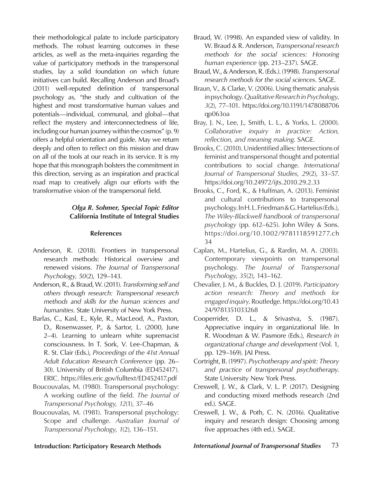their methodological palate to include participatory methods. The robust learning outcomes in these articles, as well as the meta-inquiries regarding the value of participatory methods in the transpersonal studies, lay a solid foundation on which future initiatives can build. Recalling Anderson and Broad's (2011) well-reputed definition of transpersonal psychology as, "the study and cultivation of the highest and most transformative human values and potentials—individual, communal, and global—that reflect the mystery and interconnectedness of life, including our human journey within the cosmos" (p. 9) offers a helpful orientation and guide. May we return deeply and often to reflect on this mission and draw on all of the tools at our reach in its service. It is my hope that this monograph bolsters the commitment in this direction, serving as an inspiration and practical road map to creatively align our efforts with the transformative vision of the transpersonal field.

# *Olga R. Sohmer, Special Topic Editor* **California Institute of Integral Studies**

### **References**

- Anderson, R. (2018). Frontiers in transpersonal research methods: Historical overview and renewed visions. *The Journal of Transpersonal Psychology, 50*(2), 129–143.
- Anderson, R., & Braud, W. (2011). *Transforming self and others through research: Transpersonal research methods and skills for the human sciences and humanities*. State University of New York Press.
- Barlas, C., Kasl, E., Kyle, R., MacLeod, A., Paxton, D., Rosenwasser, P., & Sartor, L. (2000, June 2–4). Learning to unlearn white supremacist consciousness. In T. Sork, V. Lee-Chapman, & R. St. Clair (Eds.), *Proceedings of the 41st Annual Adult Education Research Conference* (pp. 26– 30). University of British Columbia (ED452417). ERIC. https://files.eric.gov/fulltext/ED452417.pdf
- Boucouvalas, M. (1980). Transpersonal psychology: A working outline of the field. *The Journal of Transpersonal Psychology, 12*(1), 37–46
- Boucouvalas, M. (1981). Transpersonal psychology: Scope and challenge. *Australian Journal of Transpersonal Psychology, 1*(2), 136–151.
- Braud, W. (1998). An expanded view of validity. In W. Braud & R. Anderson, *Transpersonal research methods for the social sciences: Honoring human experience* (pp. 213–237). SAGE.
- Braud, W., & Anderson, R. (Eds.). (1998). *Transpersonal research methods for the social sciences*. SAGE.
- Braun, V., & Clarke, V. (2006). Using thematic analysis in psychology. *Qualitative Research in Psychology*, *3*(2), 77–101. https://doi.org/10.1191/1478088706 qp063oa
- Bray, J. N., Lee, J., Smith, L. L., & Yorks, L. (2000). *Collaborative inquiry in practice: Action, reflection, and meaning making*. SAGE.
- Brooks, C. (2010). Unidentified allies: Intersections of feminist and transpersonal thought and potential contributions to social change. *International Journal of Transpersonal Studies*, *29*(2), 33–57. https://doi.org/10.24972/ijts.2010.29.2.33
- Brooks, C., Ford, K., & Huffman, A. (2013). Feminist and cultural contributions to transpersonal psychology. In H. L. Friedman & G. Hartelius (Eds.), *The Wiley-Blackwell handbook of transpersonal psychology* (pp. 612–625). John Wiley & Sons. https://doi.org/10.1002/9781118591277.ch 34
- Caplan, M., Hartelius, G., & Rardin, M. A. (2003). Contemporary viewpoints on transpersonal psychology. *The Journal of Transpersonal Psychology*, *35*(2), 143–162.
- Chevalier, J. M., & Buckles, D. J. (2019). *Participatory action research: Theory and methods for engaged inquiry*. Routledge. https://doi.org/10.43 24/9781351033268
- Cooperrider, D. L., & Srivastva, S. (1987). Appreciative inquiry in organizational life. In R. Woodman & W. Pasmore (Eds.), *Research in organizational change and development* (Vol. 1, pp. 129–169). JAI Press.
- Cortright, B. (1997). *Psychotherapy and spirit: Theory and practice of transpersonal psychotherapy*. State University New York Press.
- Creswell, J. W., & Clark, V. L. P. (2017). Designing and conducting mixed methods research (2nd ed.). SAGE.
- Creswell, J. W., & Poth, C. N. (2016). Qualitative inquiry and research design: Choosing among five approaches (4th ed.). SAGE.

**Introduction: Participatory Research Methods** *International Journal of Transpersonal Studies* 73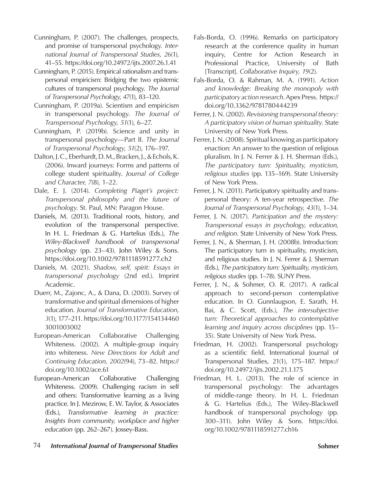- Cunningham, P. (2007). The challenges, prospects, and promise of transpersonal psychology. *International Journal of Transpersonal Studies*, *26*(1), 41–55. https://doi.org/10.24972/ijts.2007.26.1.41
- Cunningham, P. (2015). Empirical rationalism and transpersonal empiricism: Bridging the two epistemic cultures of transpersonal psychology. *The Journal of Transpersonal Psychology*, *47*(1), 83–120.
- Cunningham, P. (2019a). Scientism and empiricism in transpersonal psychology. *The Journal of Transpersonal Psychology, 51*(1), 6–27.
- Cunningham, P. (2019b). Science and unity in transpersonal psychology—Part II. *The Journal of Transpersonal Psychology, 51*(2), 176–197.
- Dalton, J. C., Eberhardt, D. M., Bracken, J., & Echols, K. (2006). Inward journeys: Forms and patterns of college student spirituality. *Journal of College and Character*, *7*(8), 1–22.
- Dale, E. J. (2014). *Completing Piaget's project: Transpersonal philosophy and the future of psychology*. St. Paul, MN: Paragon House.
- Daniels, M. (2013). Traditional roots, history, and evolution of the transpersonal perspective. In H. L. Friedman & G. Hartelius (Eds.), *The Wiley-Blackwell handbook of transpersonal psychology* (pp. 23–43). John Wiley & Sons. https://doi.org/10.1002/9781118591277.ch2
- Daniels, M. (2021). *Shadow, self, spirit: Essays in transpersonal psychology* (2nd ed.). Imprint Academic.
- Duerr, M., Zajonc, A., & Dana, D. (2003). Survey of transformative and spiritual dimensions of higher education. *Journal of Transformative Education*, *3*(1), 177–211. https://doi.org/10.1177/154134460 3001003002
- European-American Collaborative Challenging Whiteness. (2002). A multiple-group inquiry into whiteness. *New Directions for Adult and Continuing Education, 2002*(94), 73–82. https:// doi.org/10.1002/ace.61
- European-American Collaborative Challenging Whiteness. (2009). Challenging racism in self and others: Transformative learning as a living practice. In J. Mezirow, E. W. Taylor, & Associates (Eds.), *Transformative learning in practice: Insights from community, workplace and higher education* (pp. 262–267). Jossey-Bass.
- Fals-Borda, O. (1996). Remarks on participatory research at the conference quality in human inquiry, Centre for Action Research in Professional Practice, University of Bath [Transcript]. *Collaborative Inquiry, 19*(2).
- Fals-Borda, O. & Rahman, M. A. (1991). *Action and knowledge: Breaking the monopoly with participatory action research*. Apex Press. https:// doi.org/10.3362/9781780444239
- Ferrer, J. N. (2002). *Revisioning transpersonal theory: A participatory vision of human spirituality.* State University of New York Press.
- Ferrer, J. N. (2008). Spiritual knowing as participatory enaction: An answer to the question of religious pluralism. In J. N. Ferrer & J. H. Sherman (Eds.), *The participatory turn: Spirituality, mysticism, religious studies* (pp. 135–169). State University of New York Press.
- Ferrer, J. N. (2011). Participatory spirituality and transpersonal theory: A ten-year retrospective. *The Journal of Transpersonal Psychology*, *43*(1), 1–34.
- Ferrer, J. N. (2017). *Participation and the mystery: Transpersonal essays in psychology, education, and religion*. State University of New York Press.
- Ferrer, J. N., & Sherman, J. H. (2008b). Introduction: The participatory turn in spirituality, mysticism, and religious studies. In J. N. Ferrer & J. Sherman (Eds.), *The participatory turn: Spirituality, mysticism, religious studies* (pp. 1–78)*.* SUNY Press.
- Ferrer, J. N., & Sohmer, O. R. (2017). A radical approach to second-person contemplative education. In O. Gunnlaugson, E. Sarath, H. Bai, & C. Scott, (Eds.), *The intersubjective turn: Theoretical approaches to contemplative learning and inquiry across disciplines* (pp. 15– 35). State University of New York Press.
- Friedman, H. (2002). Transpersonal psychology as a scientific field. International Journal of Transpersonal Studies, 21(1), 175–187. https:// doi.org/10.24972/ijts.2002.21.1.175
- Friedman, H. L. (2013). The role of science in transpersonal psychology: The advantages of middle-range theory. In H. L. Friedman & G. Hartelius (Eds.), The Wiley-Blackwell handbook of transpersonal psychology (pp. 300–311). John Wiley & Sons. https://doi. org/10.1002/9781118591277.ch16
- 74 *International Journal of Transpersonal Studies* **Sohmer**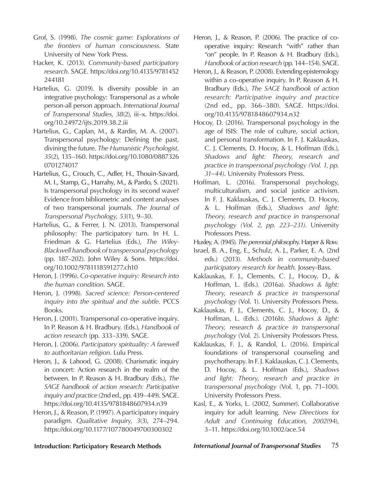- Grof, S. (1998). *The cosmic game: Explorations of the frontiers of human consciousness*. State University of New York Press.
- Hacker, K. (2013). *Community-based participatory research*. SAGE. https://doi.org/10.4135/9781452 244181
- Hartelius, G. (2019). Is diversity possible in an integrative psychology: Transpersonal as a whole person-all person approach. *International Journal of Transpersonal Studies*, *38*(2), iii–x. https://doi. org/10.24972/ijts.2019.38.2.iii
- Hartelius, G., Caplan, M., & Rardin, M. A. (2007). Transpersonal psychology: Defining the past, divining the future. *The Humanistic Psychologist*, *35*(2), 135–160. https://doi.org/10.1080/0887326 0701274017
- Hartelius, G., Crouch, C., Adler, H., Thouin-Savard, M. I., Stamp, G., Harrahy, M., & Pardo, S. (2021). Is transpersonal psychology in its second wave? Evidence from bibliometric and content analyses of two transpersonal journals. *The Journal of Transpersonal Psychology*, *53*(1), 9–30.
- Hartelius, G., & Ferrer, J. N. (2013). Transpersonal philosophy: The participatory turn. In H. L. Friedman & G. Hartelius (Eds.), *The Wiley-Blackwell handbook of transpersonal psychology* (pp. 187–202). John Wiley & Sons. https://doi. org/10.1002/9781118591277.ch10
- Heron, J. (1996). *Co-operative inquiry: Research into the human condition.* SAGE.
- Heron, J. (1998). *Sacred science: Person-centered inquiry into the spiritual and the subtle.* PCCS Books.
- Heron, J. (2001). Transpersonal co-operative inquiry. In P. Reason & H. Bradbury. (Eds.), *Handbook of action research* (pp. 333–339). SAGE.
- Heron, J. (2006). *Participatory spirituality: A farewell to authoritarian religion*. Lulu Press.
- Heron, J., & Lahood, G. (2008). Charismatic inquiry in concert: Action research in the realm of the between. In P. Reason & H. Bradbury (Eds.), *The SAGE handbook of action research: Participative inquiry and practice* (2nd ed., pp. 439–449). SAGE. https://doi.org/10.4135/9781848607934.n39
- Heron, J., & Reason, P. (1997). A participatory inquiry paradigm. *Qualitative Inquiry, 3*(3), 274–294. https://doi.org/10.1177/107780049700300302
- Heron, J., & Reason, P. (2006). The practice of cooperative inquiry: Research "with" rather than "on" people. In P. Reason & H. Bradbury (Eds.), *Handbook of action research* (pp. 144–154). SAGE.
- Heron, J., & Reason, P. (2008). Extending epistemology within a co-operative inquiry. In P. Reason & H. Bradbury (Eds.), *The SAGE handbook of action research: Participative inquiry and practice* (2nd ed., pp. 366–380). SAGE. https://doi. org/10.4135/9781848607934.n32
- Hocoy, D. (2016). Transpersonal psychology in the age of ISIS: The role of culture, social action, and personal transformation. In F. J. Kaklauskas, C. J. Clements, D. Hocoy, & L. Hoffman (Eds.), *Shadows and light: Theory, research and practice in transpersonal psychology (Vol. 1, pp. 31–44)*. University Professors Press.
- Hoffman, L. (2016). Transpersonal psychology, multiculturalism, and social justice activism. In F. J. Kaklauskas, C. J. Clements, D. Hocoy, & L. Hoffman (Eds.), *Shadows and light: Theory, research and practice in transpersonal psychology (Vol. 2, pp. 223–231)*. University Professors Press.
- Huxley, A. (1945). *The perennial philosoph*y. Harper & Row.
- Israel, B. A., Eng, E., Schulz, A. J., Parker, E. A. (2nd eds.) (2013). *Methods in community-based participatory research for health*. Jossey-Bass.
- Kaklauskas, F. J., Clements, C. J., Hocoy, D., & Hoffman, L. (Eds.). (2016a). *Shadows & light: Theory, research & practice in transpersonal psychology* (Vol. 1). University Professors Press.
- Kaklauskas, F. J., Clements, C. J., Hocoy, D., & Hoffman, L. (Eds.). (2016b). *Shadows & light: Theory, research & practice in transpersonal psychology* (Vol. 2). University Professors Press.
- Kaklauskas, F. J., & Randol, L. (2016). Empirical foundations of transpersonal counseling and psychotherapy. In F. J. Kaklauskas, C. J. Clements, D. Hocoy, & L. Hoffman (Eds.), *Shadows and light: Theory, research and practice in transpersonal psychology* (Vol. 1, pp. 71–100). University Professors Press.
- Kasl, E., & Yorks, L. (2002, Summer). Collaborative inquiry for adult learning. *New Directions for Adult and Continuing Education*, *2002*(94), 3–11. https://doi.org/10.1002/ace.54

**Introduction: Participatory Research Methods** *International Journal of Transpersonal Studies* 75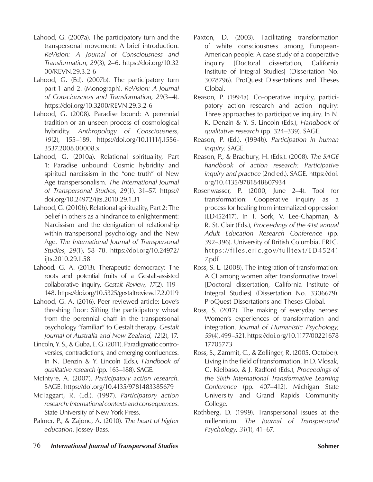- Lahood, G. (2007a). The participatory turn and the transpersonal movement: A brief introduction. *ReVision: A Journal of Consciousness and Transformation*, *29*(3), 2–6. https://doi.org/10.32 00/REVN.29.3.2-6
- Lahood, G. (Ed). (2007b). The participatory turn part 1 and 2. (Monograph). *ReVision: A Journal of Consciousness and Transformation*, *29*(3–4). https://doi.org/10.3200/REVN.29.3.2-6
- Lahood, G. (2008). Paradise bound: A perennial tradition or an unseen process of cosmological hybridity. *Anthropology of Consciousness*, *19*(2), 155–189. https://doi.org/10.1111/j.1556- 3537.2008.00008.x
- Lahood, G. (2010a). Relational spirituality, Part 1: Paradise unbound: Cosmic hybridity and spiritual narcissism in the "one truth" of New Age transpersonalism. *The International Journal of Transpersonal Studies*, *29*(1), 31–57. https:// doi.org/10.24972/ijts.2010.29.1.31
- Lahood, G. (2010b). Relational spirituality, Part 2: The belief in others as a hindrance to enlightenment: Narcissism and the denigration of relationship within transpersonal psychology and the New Age. *The International Journal of Transpersonal Studies*, *29*(1), 58–78. https://doi.org/10.24972/ ijts.2010.29.1.58
- Lahood, G. A. (2013). Therapeutic democracy: The roots and potential fruits of a Gestalt-assisted collaborative inquiry. *Gestalt Review*, *17*(2), 119– 148. https://doi.org/10.5325/gestaltreview.17.2.0119
- Lahood, G. A. (2016). Peer reviewed article: Love's threshing floor: Sifting the participatory wheat from the perennial chaff in the transpersonal psychology "familiar" to Gestalt therapy. *Gestalt Journal of Australia and New Zealand*, *12*(2), 17.
- Lincoln, Y. S., & Guba, E. G. (2011). Paradigmatic controversies, contradictions, and emerging confluences. In N. Denzin & Y. Lincoln (Eds.), *Handbook of qualitative research* (pp. 163–188). SAGE.
- McIntyre, A. (2007). *Participatory action research*. SAGE. https://doi.org/10.4135/9781483385679
- McTaggart, R. (Ed.). (1997). *Participatory action research: International contexts and consequences*. State University of New York Press.
- Palmer, P., & Zajonc, A. (2010). *The heart of higher education*. Jossey-Bass.
- Paxton, D. (2003). Facilitating transformation of white consciousness among European-American people: A case study of a cooperative inquiry [Doctoral dissertation, California Institute of Integral Studies] (Dissertation No. 3078796). ProQuest Dissertations and Theses Global.
- Reason, P. (1994a). Co-operative inquiry, participatory action research and action inquiry: Three approaches to participative inquiry. In N. K. Denzin & Y. S. Lincoln (Eds.), *Handbook of qualitative research* (pp. 324–339). SAGE.
- Reason, P. (Ed.). (1994b). *Participation in human inquiry*. SAGE.
- Reason, P., & Bradbury, H. (Eds.). (2008). *The SAGE handbook of action research: Participative inquiry and practice* (2nd ed.). SAGE. https://doi. org/10.4135/9781848607934
- Rosenwasser, P. (2000, June 2–4). Tool for transformation: Cooperative inquiry as a process for healing from internalized oppression (ED452417). In T. Sork, V. Lee-Chapman, & R. St. Clair (Eds.), *Proceedings of the 41st annual Adult Education Research Conference* (pp. 392–396). University of British Columbia. ERIC. https://files.eric.gov/fulltext/ED45241 7.pdf
- Ross, S. L. (2008). The integration of transformation: A CI among women after transformative travel. [Doctoral dissertation, California Institute of Integral Studies] (Dissertation No. 3306679). ProQuest Dissertations and Theses Global.
- Ross, S. (2017). The making of everyday heroes: Women's experiences of transformation and integration. *Journal of Humanistic Psychology*, *59*(4), 499–521. https://doi.org/10.1177/00221678 17705773
- Ross, S., Zammit, C., & Zollinger, R. (2005, October). Living in the field of transformation. In D. Vlosak, G. Kielbaso, & J. Radford (Eds.), *Proceedings of the Sixth International Transformative Learning Conference* (pp. 407–412). Michigan State University and Grand Rapids Community College.
- Rothberg, D. (1999). Transpersonal issues at the millennium. *The Journal of Transpersonal Psychology*, *31*(1), 41–67.
- 76 *International Journal of Transpersonal Studies* **Sohmer**